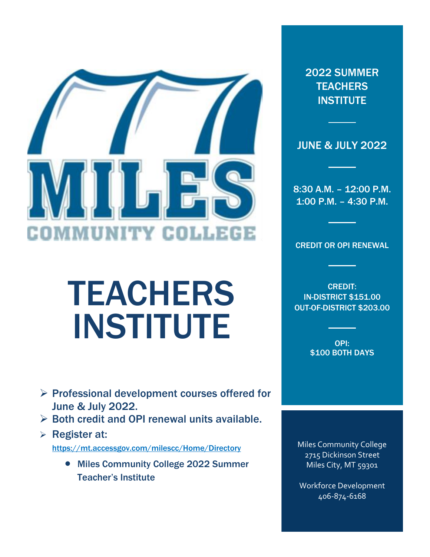

# TEACHERS INSTITUTE

- ➢ Professional development courses offered for June & July 2022.
- $\triangleright$  Both credit and OPI renewal units available.
- ➢ Register at: <https://mt.accessgov.com/milescc/Home/Directory>
	- Miles Community College 2022 Summer Teacher's Institute

2022 SUMMER **TEACHERS INSTITUTE** 

JUNE & JULY 2022

8:30 A.M. – 12:00 P.M. 1:00 P.M. – 4:30 P.M.

CREDIT OR OPI RENEWAL

CREDIT: IN-DISTRICT \$151.00 OUT-OF-DISTRICT \$203.00

> OPI: \$100 BOTH DAYS

Miles Community College 2715 Dickinson Street Miles City, MT 59301

Workforce Development 406-874-6168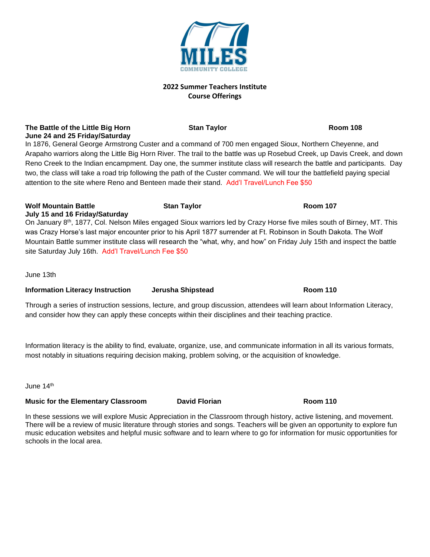#### **2022 Summer Teachers Institute Course Offerings**

**The Battle of the Little Big Horn Stan Taylor Stan Taylor Room 108 June 24 and 25 Friday/Saturday**

In 1876, General George Armstrong Custer and a command of 700 men engaged Sioux, Northern Cheyenne, and Arapaho warriors along the Little Big Horn River. The trail to the battle was up Rosebud Creek, up Davis Creek, and down Reno Creek to the Indian encampment. Day one, the summer institute class will research the battle and participants. Day two, the class will take a road trip following the path of the Custer command. We will tour the battlefield paying special attention to the site where Reno and Benteen made their stand. Add'l Travel/Lunch Fee \$50

#### **Wolf Mountain Battle Stan Taylor Room 107 July 15 and 16 Friday/Saturday**

On January 8th, 1877, Col. Nelson Miles engaged Sioux warriors led by Crazy Horse five miles south of Birney, MT. This was Crazy Horse's last major encounter prior to his April 1877 surrender at Ft. Robinson in South Dakota. The Wolf Mountain Battle summer institute class will research the "what, why, and how" on Friday July 15th and inspect the battle site Saturday July 16th. Add'l Travel/Lunch Fee \$50

June 13th

## **Information Literacy Instruction Jerusha Shipstead Room 110**

Through a series of instruction sessions, lecture, and group discussion, attendees will learn about Information Literacy, and consider how they can apply these concepts within their disciplines and their teaching practice.

Information literacy is the ability to find, evaluate, organize, use, and communicate information in all its various formats, most notably in situations requiring decision making, problem solving, or the acquisition of knowledge.

June 14th

## **Music for the Elementary Classroom David Florian Room 110**

In these sessions we will explore Music Appreciation in the Classroom through history, active listening, and movement. There will be a review of music literature through stories and songs. Teachers will be given an opportunity to explore fun music education websites and helpful music software and to learn where to go for information for music opportunities for schools in the local area.